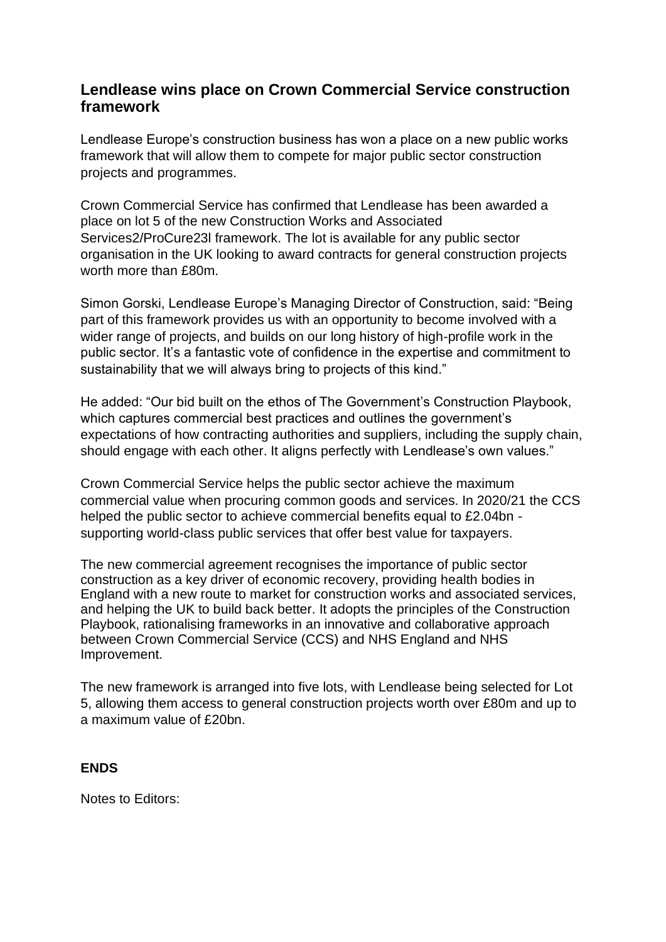## **Lendlease wins place on Crown Commercial Service construction framework**

Lendlease Europe's construction business has won a place on a new public works framework that will allow them to compete for major public sector construction projects and programmes.

Crown Commercial Service has confirmed that Lendlease has been awarded a place on lot 5 of the new Construction Works and Associated Services2/ProCure23l framework. The lot is available for any public sector organisation in the UK looking to award contracts for general construction projects worth more than £80m.

Simon Gorski, Lendlease Europe's Managing Director of Construction, said: "Being part of this framework provides us with an opportunity to become involved with a wider range of projects, and builds on our long history of high-profile work in the public sector. It's a fantastic vote of confidence in the expertise and commitment to sustainability that we will always bring to projects of this kind."

He added: "Our bid built on the ethos of The Government's Construction Playbook, which captures commercial best practices and outlines the government's expectations of how contracting authorities and suppliers, including the supply chain, should engage with each other. It aligns perfectly with Lendlease's own values."

Crown Commercial Service helps the public sector achieve the maximum commercial value when procuring common goods and services. In 2020/21 the CCS helped the public sector to achieve commercial benefits equal to £2.04bn supporting world-class public services that offer best value for taxpayers.

The new commercial agreement recognises the importance of public sector construction as a key driver of economic recovery, providing health bodies in England with a new route to market for construction works and associated services, and helping the UK to build back better. It adopts the principles of the Construction Playbook, rationalising frameworks in an innovative and collaborative approach between Crown Commercial Service (CCS) and NHS England and NHS Improvement.

The new framework is arranged into five lots, with Lendlease being selected for Lot 5, allowing them access to general construction projects worth over £80m and up to a maximum value of £20bn.

## **ENDS**

Notes to Editors: